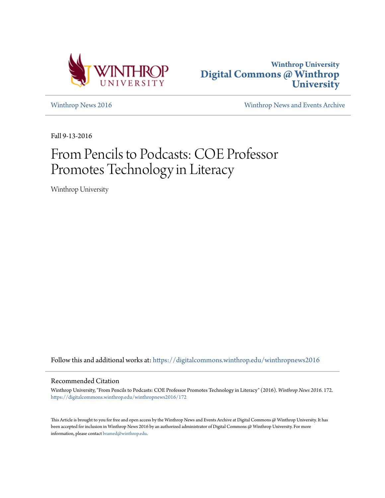



[Winthrop News 2016](https://digitalcommons.winthrop.edu/winthropnews2016?utm_source=digitalcommons.winthrop.edu%2Fwinthropnews2016%2F172&utm_medium=PDF&utm_campaign=PDFCoverPages) [Winthrop News and Events Archive](https://digitalcommons.winthrop.edu/winthropnewsarchives?utm_source=digitalcommons.winthrop.edu%2Fwinthropnews2016%2F172&utm_medium=PDF&utm_campaign=PDFCoverPages)

Fall 9-13-2016

# From Pencils to Podcasts: COE Professor Promotes Technology in Literacy

Winthrop University

Follow this and additional works at: [https://digitalcommons.winthrop.edu/winthropnews2016](https://digitalcommons.winthrop.edu/winthropnews2016?utm_source=digitalcommons.winthrop.edu%2Fwinthropnews2016%2F172&utm_medium=PDF&utm_campaign=PDFCoverPages)

### Recommended Citation

Winthrop University, "From Pencils to Podcasts: COE Professor Promotes Technology in Literacy" (2016). *Winthrop News 2016*. 172. [https://digitalcommons.winthrop.edu/winthropnews2016/172](https://digitalcommons.winthrop.edu/winthropnews2016/172?utm_source=digitalcommons.winthrop.edu%2Fwinthropnews2016%2F172&utm_medium=PDF&utm_campaign=PDFCoverPages)

This Article is brought to you for free and open access by the Winthrop News and Events Archive at Digital Commons @ Winthrop University. It has been accepted for inclusion in Winthrop News 2016 by an authorized administrator of Digital Commons @ Winthrop University. For more information, please contact [bramed@winthrop.edu](mailto:bramed@winthrop.edu).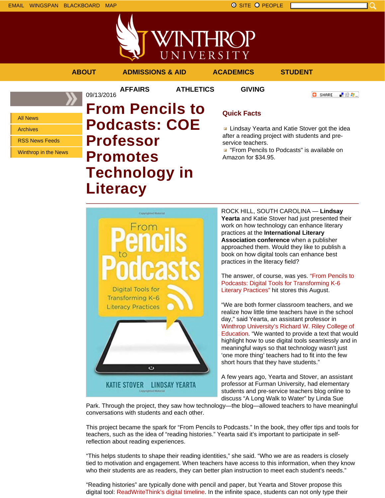「验費」

**O** SHARE

Q



**AFFAIRS ATHLETICS GIVING**

09/13/2016

All News

Archives

RSS News Feeds

Winthrop in the News

**From Pencils to Podcasts: COE Professor Promotes Technology in Literacy**

## **Quick Facts**

**E** Lindsay Yearta and Katie Stover got the idea after a reading project with students and preservice teachers.

**E** "From Pencils to Podcasts" is available on Amazon for \$34.95.



ROCK HILL, SOUTH CAROLINA — **Lindsay Yearta** and Katie Stover had just presented their work on how technology can enhance literary practices at the **International Literary Association conference** when a publisher approached them. Would they like to publish a book on how digital tools can enhance best practices in the literacy field?

The answer, of course, was yes. "From Pencils to Podcasts: Digital Tools for Transforming K-6 Literary Practices" hit stores this August.

"We are both former classroom teachers, and we realize how little time teachers have in the school day," said Yearta, an assistant professor in Winthrop University's Richard W. Riley College of Education. "We wanted to provide a text that would highlight how to use digital tools seamlessly and in meaningful ways so that technology wasn't just 'one more thing' teachers had to fit into the few short hours that they have students."

A few years ago, Yearta and Stover, an assistant professor at Furman University, had elementary students and pre-service teachers blog online to discuss "A Long Walk to Water" by Linda Sue

Park. Through the project, they saw how technology—the blog—allowed teachers to have meaningful conversations with students and each other.

This project became the spark for "From Pencils to Podcasts." In the book, they offer tips and tools for teachers, such as the idea of "reading histories." Yearta said it's important to participate in selfreflection about reading experiences.

"This helps students to shape their reading identities," she said. "Who we are as readers is closely tied to motivation and engagement. When teachers have access to this information, when they know who their students are as readers, they can better plan instruction to meet each student's needs."

"Reading histories" are typically done with pencil and paper, but Yearta and Stover propose this digital tool: ReadWriteThink's digital timeline. In the infinite space, students can not only type their